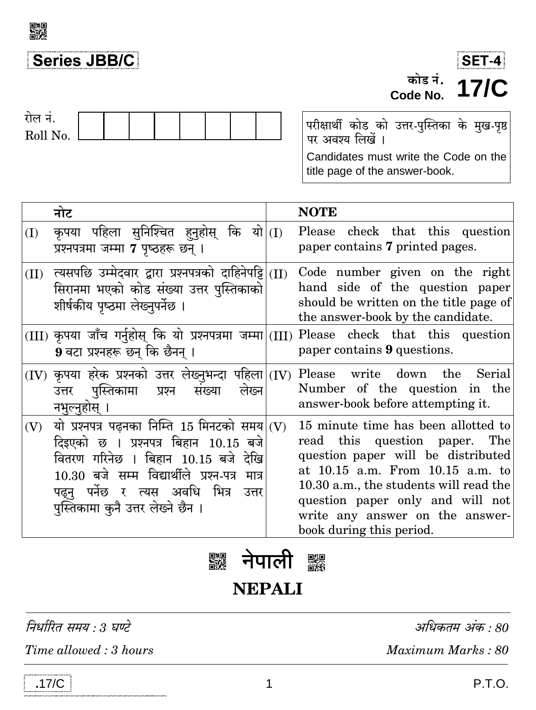

## Series JBB/C



## रोल नं. Roll No.

परीक्षार्थी कोड को उत्तर-पुस्तिका के मुख-पृष्ठ<br>पर अवश्य लिखें । Candidates must write the Code on the title page of the answer-book.

|      | नोट                                                                                                                                                                                                                                                                    | <b>NOTE</b>                                                                                                                                                                                                                                                                                 |
|------|------------------------------------------------------------------------------------------------------------------------------------------------------------------------------------------------------------------------------------------------------------------------|---------------------------------------------------------------------------------------------------------------------------------------------------------------------------------------------------------------------------------------------------------------------------------------------|
| (I)  | कृपया पहिला सुनिश्चित हुनुहोस् कि<br>यो (I)<br>प्रश्नपत्रमा जम्मा 7 पृष्ठहरू छन् ।                                                                                                                                                                                     | Please check that this question<br>paper contains 7 printed pages.                                                                                                                                                                                                                          |
| (II) | त्यसपछि उम्मेदवार द्वारा प्रश्नपत्रको दाहिनेपट्टि $\rm  (II) $<br>सिरानमा भएको कोड संख्या उत्तर पुस्तिकाको<br>शीर्षकीय पृष्ठमा लेख्नुपर्नेछ ।                                                                                                                          | Code number given on the right<br>hand side of the question paper<br>should be written on the title page of<br>the answer-book by the candidate.                                                                                                                                            |
|      | $(III)$ कृपया जाँच गर्नुहोस् कि यो प्रश्नपत्रमा जम्मा $\vert(III)\rangle$<br>9 वटा प्रश्नहरू छन् कि छैनन् ।                                                                                                                                                            | Please check that this question<br>paper contains 9 questions.                                                                                                                                                                                                                              |
|      | $(IV)$ कृपया हरेक प्रश्नको उत्तर लेख्नुभन्दा पहिला $ (IV) $<br>उत्तर पुस्तिकामा प्रश्न<br>लेख्न<br>सख्या<br>नभुल्नुहोस् ।                                                                                                                                              | Please write down the Serial<br>Number of the question in the<br>answer-book before attempting it.                                                                                                                                                                                          |
| (V)  | यो प्रश्नपत्र पढ़नका निम्ति 15 मिनटको समय $ $ (V)<br>दिइएको छ । प्रश्नपत्र बिहान 10.15 बजे<br>वितरण गरिनेछ । बिहान 10.15 बजे देखि<br>10.30 बजे सम्म विद्यार्थीले प्रश्न-पत्र<br>मात्र<br>पढ्नु पर्नेछ र त्यस अवधि भित्र<br>उत्तर<br>पुस्तिकामा कुनै उत्तर लेख्ने छैन । | 15 minute time has been allotted to<br>read this question paper. The<br>question paper will be distributed<br>at 10.15 a.m. From 10.15 a.m. to<br>10.30 a.m., the students will read the<br>question paper only and will not<br>write any answer on the answer-<br>book during this period. |



**NEPALI** 

निर्धारित समय : 3 घण्टे

Time allowed: 3 hours

अधिकतम अंक : 80

Maximum Marks: 80

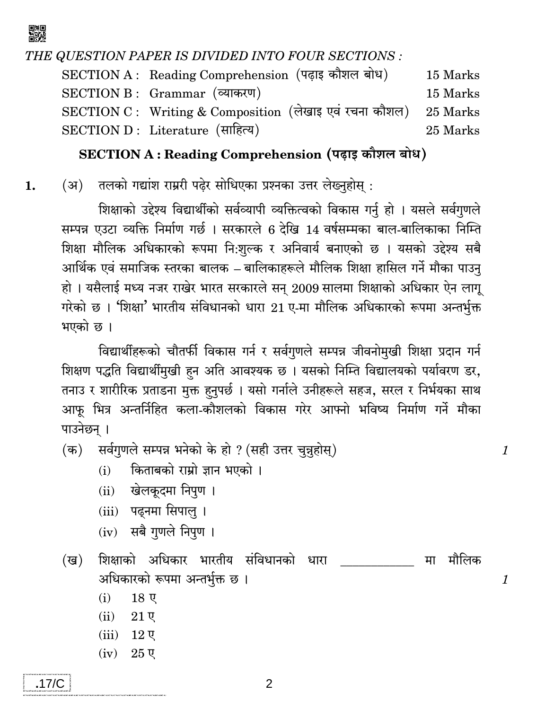囅

THE QUESTION PAPER IS DIVIDED INTO FOUR SECTIONS :

SECTION A: Reading Comprehension (पढाइ कौशल बोध) 15 Marks SECTION B: Grammar (व्याकरण) 15 Marks SECTION C : Writing & Composition (लेखाइ एवं रचना कौशल) 25 Marks SECTION D: Literature (साहित्य) 25 Marks

## SECTION A: Reading Comprehension (पढाइ कौशल बोध)

तलको गद्यांश राम्ररी पढेर सोधिएका प्रश्नका उत्तर लेख्नुहोस :  $(3)$ 1.

> शिक्षाको उद्देश्य विद्यार्थीको सर्वव्यापी व्यक्तित्वको विकास गर्नु हो । यसले सर्वगुणले सम्पन्न एउटा व्यक्ति निर्माण गर्छ । सरकारले 6 देखि 14 वर्षसम्मका बाल-बालिकाका निम्ति शिक्षा मौलिक अधिकारको रूपमा नि:शुल्क र अनिवार्य बनाएको छ । यसको उद्देश्य सबै आर्थिक एवं समाजिक स्तरका बालक – बालिकाहरूले मौलिक शिक्षा हासिल गर्ने मौका पाउनु हो। यसैलाई मध्य नजर राखेर भारत सरकारले सन् 2009 सालमा शिक्षाको अधिकार ऐन लागू गरेको छ । 'शिक्षा' भारतीय संविधानको धारा 21 ए-मा मौलिक अधिकारको रूपमा अन्तर्भुक्त भएको छ।

> विद्यार्थीहरूको चौतर्फी विकास गर्न र सर्वगुणले सम्पन्न जीवनोमुखी शिक्षा प्रदान गर्न शिक्षण पद्धति विद्यार्थीमुखी हन अति आवश्यक छ । यसको निम्ति विद्यालयको पर्यावरण डर, तनाउ र शारीरिक प्रताडना मुक्त हनुपर्छ । यसो गर्नाले उनीहरूले सहज, सरल र निर्भयका साथ आफू भित्र अन्तर्निहित कला-कौशलको विकास गरेर आफ्नो भविष्य निर्माण गर्ने मौका पाउनेछन् ।

> > $\mathcal{I}$

 $\mathbf{1}$ 

सर्वगुणले सम्पन्न भनेको के हो ? (सही उत्तर चुन्नहोस्)  $(\overline{a})$ 

> किताबको राम्रो ज्ञान भएको ।  $(i)$

- खेलकदमा निपुण ।  $(ii)$
- (iii) पढ़नमा सिपाल ।
- $(iv)$  सबै गुणले निपुण ।

शिक्षाको अधिकार भारतीय संविधानको धारा (ख) मा मौलिक अधिकारको रूपमा अन्तर्भुक्त छ ।

- $(i)$  $18<sub>g</sub>$
- $(ii)$  $21$  ए
- $(iii)$  12  $\nabla$
- $(iv)$  25  $\nabla$

2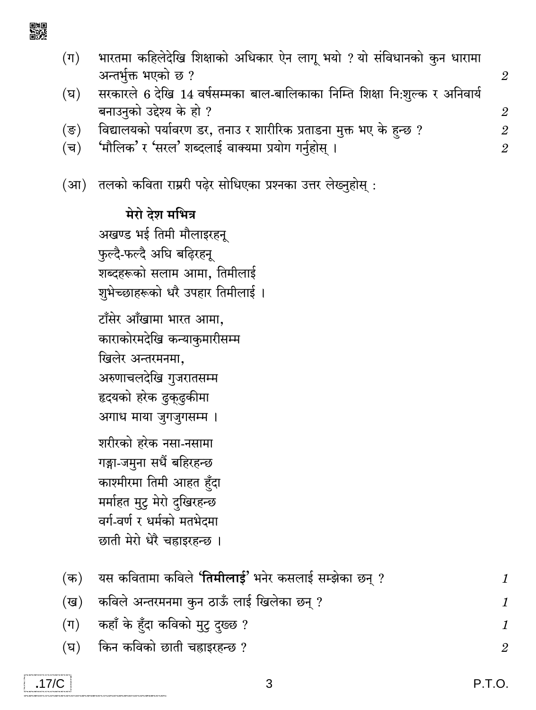- भारतमा कहिलेदेखि शिक्षाको अधिकार ऐन लागू भयो ? यो संविधानको कुन धारामा  $(\Pi)$ अन्तर्भुक्त भएको छ ?
- सरकारले 6 देखि 14 वर्षसम्मका बाल-बालिकाका निम्ति शिक्षा नि:शुल्क र अनिवार्य  $(\overline{v})$ बनाउनको उद्देश्य के हो ?
- विद्यालयको पर्यावरण डर, तनाउ र शारीरिक प्रताडना मुक्त भए के हुन्छ ?  $(\overline{s})$
- 'मौलिक' र 'सरल' शब्दलाई वाक्यमा प्रयोग गर्नुहोस् ।  $(\overline{\mathbf{v}})$
- (आ) तलको कविता राम्ररी पढेर सोधिएका प्रश्नका उत्तर लेख्नुहोस :

मेरो देश मभित्र अखण्ड भई तिमी मौलाइरहन फुल्दै-फल्दै अघि बढ़िरहनू शब्दहरूको सलाम आमा, तिमीलाई शुभेच्छाहरूको धरै उपहार तिमीलाई । टाँसेर आँखामा भारत आमा, काराकोरमदेखि कन्याकुमारीसम्म खिलेर अन्तरमनमा. अरुणाचलदेखि गुजरातसम्म हृदयको हरेक ढ़कढ़कीमा अगाध माया जुगजुगसम्म । शरीरको हरेक नसा-नसामा गङ्गा-जमुना सधैं बहिरहन्छ काश्मीरमा तिमी आहत हुँदा मर्माहत मुटु मेरो दुखिरहन्छ वर्ग-वर्ण र धर्मको मतभेदमा छाती मेरो धेरै चहाइरहन्छ ।

|         | (क)    यस कवितामा कविले <b>'तिमीलाई'</b> भनेर कसलाई सम्झेका छन् ? |  |
|---------|-------------------------------------------------------------------|--|
| (ख)     | कविले अन्तरमनमा कुन ठाऊँ लाई खिलेका छन् ?                         |  |
| $(\pi)$ | कहाँ के हूँदा कविको मुट् दुख्छ ?                                  |  |
|         | (घ) किन कविको छाती चहाइरहन्छ ?                                    |  |

 $\overline{2}$ 

 $\overline{2}$ 

 $\overline{2}$ 

 $\mathfrak{D}$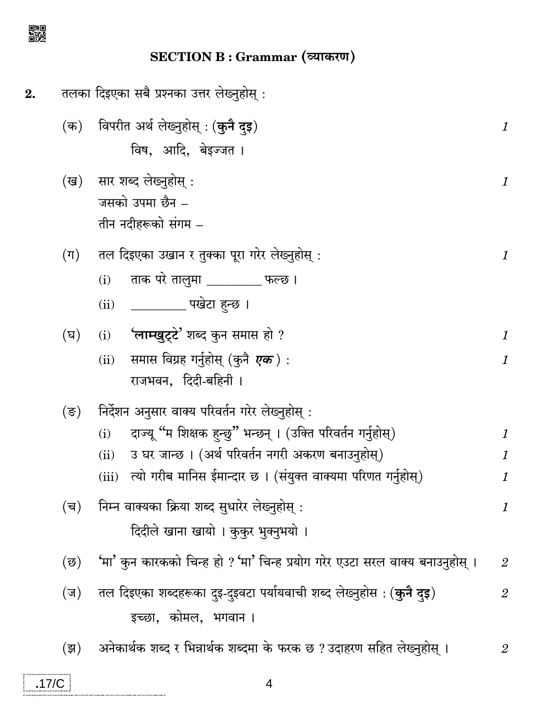

SECTION B : Grammar (व्याकरण)

| 2. |                | तलका दिइएका सबै प्रश्नका उत्तर लेख्नुहोस् :                                                                                                                                                                                                                     |                                |
|----|----------------|-----------------------------------------------------------------------------------------------------------------------------------------------------------------------------------------------------------------------------------------------------------------|--------------------------------|
|    | (क)            | विपरीत अर्थ लेख्नुहोस् : ( <b>कुनै दुइ</b> )<br>विष, आदि, बेइज्जत।                                                                                                                                                                                              | 1                              |
|    | (ख)            | सार शब्द लेख्नुहोस् :<br>जसको उपमा छैन –<br>तीन नदीहरूको संगम –                                                                                                                                                                                                 | 1                              |
|    | $(\mathbb{F})$ | तल दिइएका उखान र तुक्का पूरा गरेर लेख्नुहोस् :<br>ताक परे तालुमा ________ फल्छ ।<br>(i)<br>____________ पखेटा हुन्छ ।<br>(ii)                                                                                                                                   | 1                              |
|    | (घ)            | $(i)$ 'लाम्खुट्टे' शब्द कुन समास हो ?<br>समास विग्रह गर्नुहोस् (कुनै <i><b>एक</b>)</i> :<br>(ii)<br>राजभवन, दिदी-बहिनी।                                                                                                                                         | 1<br>1                         |
|    | (ङ)            | निर्देशन अनुसार वाक्य परिवर्तन गरेर लेख्नुहोस् :<br>दाज्यू "म शिक्षक हुन्छु" भन्छन् । (उक्ति परिवर्तन गर्नुहोस्)<br>(i)<br>उ घर जान्छ । (अर्थ परिवर्तन नगरी अकरण बनाउनुहोस्)<br>(ii)<br>त्यो गरीब मानिस ईमान्दार छ । (संयुक्त वाक्यमा परिणत गर्नुहोस्)<br>(iii) | 1<br>1<br>1                    |
|    | (च)            | निम्न वाक्यका क्रिया शब्द सुधारेर लेख्नुहोस् :<br>दिदीले खाना खायो । कुकुर भुक्नुभयो ।                                                                                                                                                                          | 1                              |
|    | (छ)<br>(ज)     | 'मा' कुन कारकको चिन्ह हो ? 'मा' चिन्ह प्रयोग गरेर एउटा सरल वाक्य बनाउनुहोस् ।<br>तल दिइएका शब्दहरूका दुइ-दुइवटा पर्यायवाची शब्द लेख्नुहोस : ( <b>कुनै दुइ</b> )<br>इच्छा, कोमल, भगवान ।                                                                         | $\boldsymbol{2}$<br>$\sqrt{2}$ |
|    |                |                                                                                                                                                                                                                                                                 |                                |

(झ) अनेकार्थक शब्द र भिन्नार्थक शब्दमा के फरक छ ? उदाहरण सहित लेख्नुहोस् ।  $\sqrt{2}$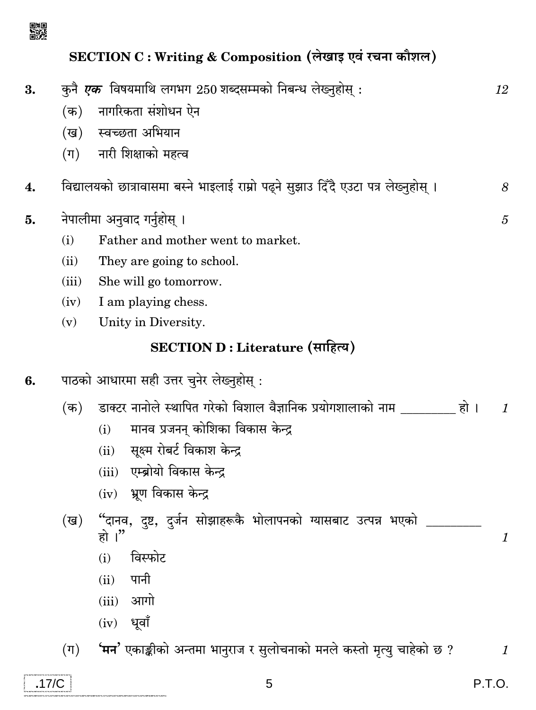

## SECTION C : Writing & Composition (लेखाइ एवं रचना कौशल)

| 3.    |                  | कुनै <i>एक</i> विषयमाथि लगभग 250 शब्दसम्मको निबन्ध लेख्नुहोस् :                     | 12                        |
|-------|------------------|-------------------------------------------------------------------------------------|---------------------------|
|       | $(\overline{a})$ | नागरिकता संशोधन ऐन                                                                  |                           |
|       |                  | (ख) स्वच्छता अभियान                                                                 |                           |
|       | $(\Pi)$          | नारी शिक्षाको महत्व                                                                 |                           |
| 4.    |                  | विद्यालयको छात्रावासमा बस्ने भाइलाई राम्रो पढ्ने सुझाउ दिँदै एउटा पत्र लेख्नुहोस् । | 8                         |
| 5.    |                  | नेपालीमा अनुवाद गर्नुहोस् ।                                                         | 5                         |
|       | (i)              | Father and mother went to market.                                                   |                           |
|       | (ii)             | They are going to school.                                                           |                           |
|       | (iii)            | She will go tomorrow.                                                               |                           |
|       | (iv)             | I am playing chess.                                                                 |                           |
|       | (v)              | Unity in Diversity.                                                                 |                           |
|       |                  | SECTION D : Literature (साहित्य)                                                    |                           |
| 6.    |                  | पाठको आधारमा सही उत्तर चुनेर लेख्नुहोस् :                                           |                           |
|       | $(\overline{a})$ | डाक्टर नानोले स्थापित गरेको विशाल वैज्ञानिक प्रयोगशालाको नाम _________ हो ।         | $\mathcal{I}$             |
|       |                  | मानव प्रजनन् कोशिका विकास केन्द्र<br>(i)                                            |                           |
|       |                  | सूक्ष्म रोबर्ट विकाश केन्द्र<br>(ii)                                                |                           |
|       |                  | (iii) एम्ब्रोयो विकास केन्द्र                                                       |                           |
|       |                  | $(iv)$ भ्रूण विकास केन्द्र                                                          |                           |
|       | (ख)              | "दानव, दृष्ट, दुर्जन सोझाहरूकै भोलापनको ग्यासबाट उत्पन्न भएको                       |                           |
|       |                  | हो ।"                                                                               | $\boldsymbol{\mathit{1}}$ |
|       |                  | विस्फोट<br>(i)                                                                      |                           |
|       |                  | पानी<br>(ii)                                                                        |                           |
|       |                  | आगो<br>(iii)                                                                        |                           |
|       |                  | धूवाँ<br>(iv)                                                                       |                           |
|       | $(\Pi)$          | 'मन' एकाङ्कीको अन्तमा भानुराज र सुलोचनाको मनले कस्तो मृत्यु चाहेको छ ?              | $\mathcal{I}$             |
| .17/C |                  | 5                                                                                   | P.T.O.                    |

 $\label{thm:main}$  we finder from these times the<br>continuation of the state from the state for  $\omega$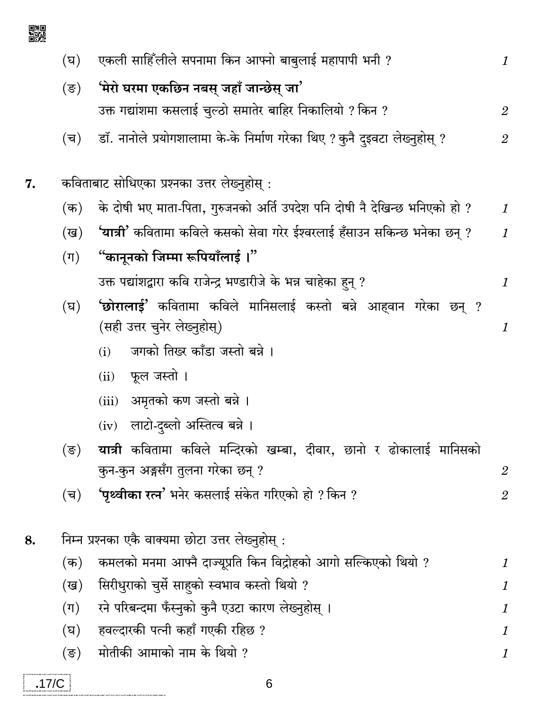एकली साहिँलीले सपनामा किन आफ्नो बाबुलाई महापापी भनी ?  $(\overline{v})$  $\mathbf{1}$ 'मेरो घरमा एकछिन नबस् जहाँ जान्छेस् जा'  $(\overline{S})$ उक्त गद्यांशमा कसलाई चल्ठो समातेर बाहिर निकालियो ? किन ?  $\overline{2}$ डॉ. नानोले प्रयोगशालामा के-के निर्माण गरेका थिए ? कुनै दइवटा लेख्नुहोस् ?  $(\overline{\mathbf{v}})$  $\overline{2}$ कविताबाट सोधिएका प्रश्नका उत्तर लेख्नुहोस : के दोषी भए माता-पिता, गुरुजनको अर्ति उपदेश पनि दोषी नै देखिन्छ भनिएको हो ?  $(\overline{a})$  $\mathcal I$ 'यात्री' कवितामा कविले कसको सेवा गरेर ईश्वरलाई हँसाउन सकिन्छ भनेका छन ? (ख)  $\mathbf{1}$ "कानूनको जिम्मा रूपियाँलाई ।"  $(\Pi)$ उक्त पद्यांशद्वारा कवि राजेन्द्र भण्डारीजे के भन्न चाहेका हन् ?  $\mathbf{1}$ 'छोरालाई' कवितामा कविले मानिसलाई कस्तो बन्ने आहवान गरेका छन् ? (घ) (सही उत्तर चुनेर लेख्नुहोस्) 1 जगको तिख्र काँडा जस्तो बन्ने ।  $(i)$ फूल जस्तो ।  $(ii)$ अमृतको कण जस्तो बन्ने ।  $(iii)$ (iv) लाटो-दब्लो अस्तित्व बन्ने । यात्री कवितामा कविले मन्दिरको खम्बा, दीवार, छानो र ढोकालाई मानिसको  $(\overline{\mathbf{S}})$ कुन-कुन अङ्गसँग तुलना गरेका छन् ?  $\overline{2}$ **'पृथ्वीका रत्न'** भनेर कसलाई संकेत गरिएको हो ? किन ?  $(\overline{\mathbf{v}})$  $\overline{2}$ निम्न प्रश्नका एकै वाक्यमा छोटा उत्तर लेख्नुहोस् : कमलको मनमा आफ्नै दाज्यूप्रति किन विद्रोहको आगो सल्किएको थियो ?  $(\overline{a})$  $\mathbf{1}$ सिरीधुराको चुर्से साहको स्वभाव कस्तो थियो ? (ख) 1 रने परिबन्दमा फँस्नुको कुनै एउटा कारण लेख्नुहोस् ।  $(\Pi)$ 1 हवल्दारकी पत्नी कहाँ गएकी रहिछ ? (घ)  $\mathcal{I}_{\mathcal{L}}$ मोतीकी आमाको नाम के थियो ? (ङ) 1

8.

囅

7.